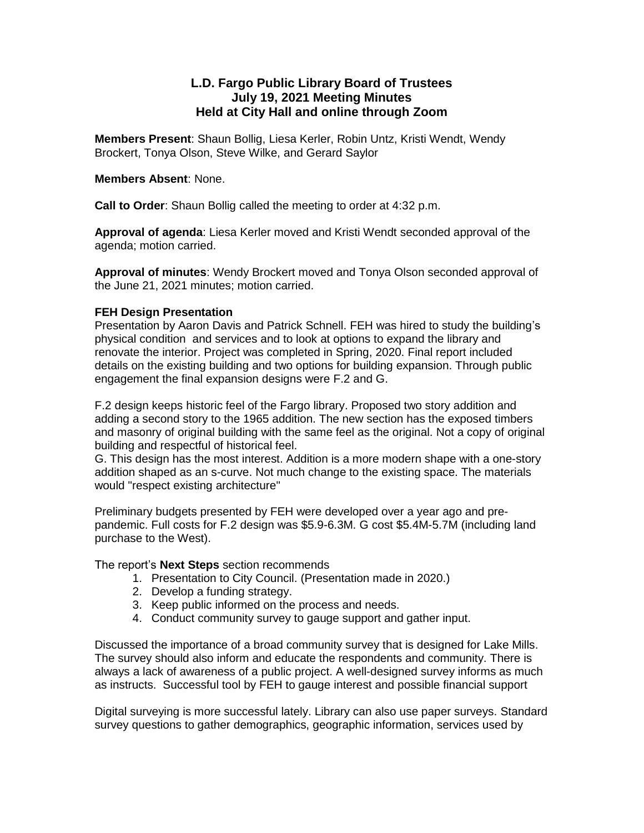# **L.D. Fargo Public Library Board of Trustees July 19, 2021 Meeting Minutes Held at City Hall and online through Zoom**

**Members Present**: Shaun Bollig, Liesa Kerler, Robin Untz, Kristi Wendt, Wendy Brockert, Tonya Olson, Steve Wilke, and Gerard Saylor

### **Members Absent**: None.

**Call to Order**: Shaun Bollig called the meeting to order at 4:32 p.m.

**Approval of agenda**: Liesa Kerler moved and Kristi Wendt seconded approval of the agenda; motion carried.

**Approval of minutes**: Wendy Brockert moved and Tonya Olson seconded approval of the June 21, 2021 minutes; motion carried.

### **FEH Design Presentation**

Presentation by Aaron Davis and Patrick Schnell. FEH was hired to study the building's physical condition and services and to look at options to expand the library and renovate the interior. Project was completed in Spring, 2020. Final report included details on the existing building and two options for building expansion. Through public engagement the final expansion designs were F.2 and G.

F.2 design keeps historic feel of the Fargo library. Proposed two story addition and adding a second story to the 1965 addition. The new section has the exposed timbers and masonry of original building with the same feel as the original. Not a copy of original building and respectful of historical feel.

G. This design has the most interest. Addition is a more modern shape with a one-story addition shaped as an s-curve. Not much change to the existing space. The materials would "respect existing architecture"

Preliminary budgets presented by FEH were developed over a year ago and prepandemic. Full costs for F.2 design was \$5.9-6.3M. G cost \$5.4M-5.7M (including land purchase to the West).

The report's **Next Steps** section recommends

- 1. Presentation to City Council. (Presentation made in 2020.)
- 2. Develop a funding strategy.
- 3. Keep public informed on the process and needs.
- 4. Conduct community survey to gauge support and gather input.

Discussed the importance of a broad community survey that is designed for Lake Mills. The survey should also inform and educate the respondents and community. There is always a lack of awareness of a public project. A well-designed survey informs as much as instructs. Successful tool by FEH to gauge interest and possible financial support

Digital surveying is more successful lately. Library can also use paper surveys. Standard survey questions to gather demographics, geographic information, services used by